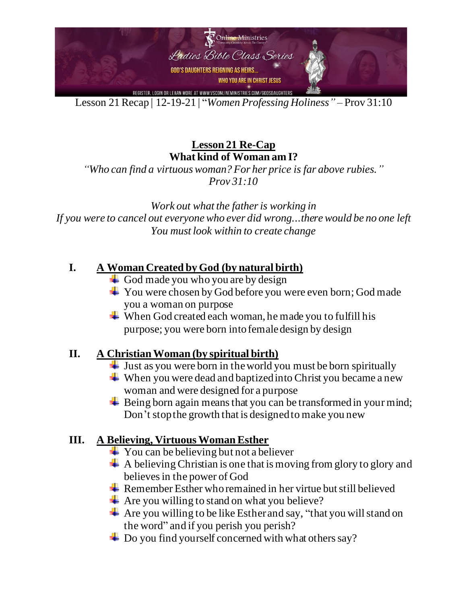

Lesson 21Recap | 12-19-21 | "*Women Professing Holiness"* – Prov 31:10

**Lesson 21 Re-Cap What kind of Woman am I?**

*"Who can find a virtuous woman? For her price is far above rubies." Prov 31:10*

*Work out what the father is working in If you were to cancel out everyone who ever did wrong...there would be no one left You must look within to create change*

## **I. A Woman Created by God (by natural birth)**

- $\overline{\phantom{a}}$  God made you who you are by design
- $\div$  You were chosen by God before you were even born; God made you a woman on purpose
- $\overline{\text{}}$  When God created each woman, he made you to fulfill his purpose; you were born into female design by design

## **II. A Christian Woman (by spiritual birth)**

- $\downarrow$  Just as you were born in the world you must be born spiritually
- $\downarrow$  When you were dead and baptized into Christ you became a new woman and were designed for a purpose
- $\overline{\phantom{a}}$  Being born again means that you can be transformed in your mind; Don't stop the growth that is designed to make you new

## **III. A Believing, Virtuous Woman Esther**

- $\overline{\phantom{a}}$  You can be believing but not a believer
- $\overline{\phantom{a}}$  A believing Christian is one that is moving from glory to glory and believes in the power of God
- **External 4** Remember Esther who remained in her virtue but still believed
- $\div$  Are you willing to stand on what you believe?
- $\overline{\text{4}}$  Are you willing to be like Esther and say, "that you will stand on the word" and if you perish you perish?
- $\overline{\phantom{a}}$  Do you find yourself concerned with what others say?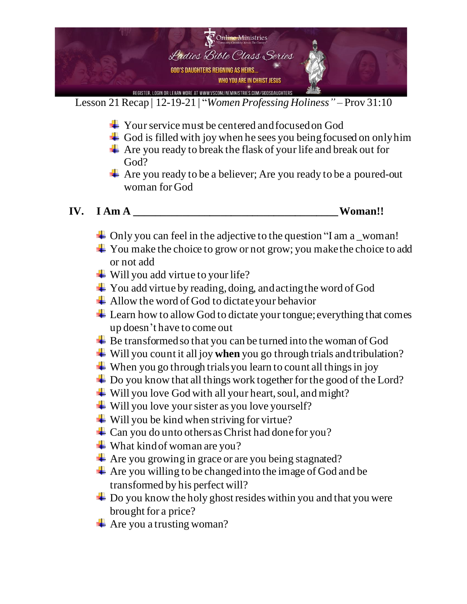

Lesson 21Recap | 12-19-21 | "*Women Professing Holiness"* – Prov 31:10

- **→** Your service must be centered and focused on God
- $\overline{\phantom{a}}$  God is filled with joy when he sees you being focused on only him
- Are you ready to break the flask of your life and break out for God?
- Are you ready to be a believer; Are you ready to be a poured-out woman for God
- **IV. I Am A \_\_\_\_\_\_\_\_\_\_\_\_\_\_\_\_\_\_\_\_\_\_\_\_\_\_\_\_\_\_\_\_\_\_\_\_\_\_ Woman!!**

- $\perp$  Only you can feel in the adjective to the question "I am a \_woman!
- $\overline{\text{4}}$  You make the choice to grow or not grow; you make the choice to add or not add
- **↓** Will you add virtue to your life?
- $\overline{\phantom{a}}$  You add virtue by reading, doing, and acting the word of God
- $\overline{\phantom{a}}$  Allow the word of God to dictate your behavior
- $\pm$  Learn how to allow God to dictate your tongue; everything that comes up doesn't have to come out
- **↓** Be transformed so that you can be turned into the woman of God
- Will you count it all joy **when** you go through trials and tribulation?
- $\overline{\phantom{a}}$  When you go through trials you learn to count all things in joy
- **↓** Do you know that all things work together for the good of the Lord?
- **↓** Will you love God with all your heart, soul, and might?
- $\div$  Will you love your sister as you love yourself?
- $\ddot{\bullet}$  Will you be kind when striving for virtue?
- $\div$  Can you do unto others as Christ had done for you?
- $\ddot{\bullet}$  What kind of woman are you?
- $\overline{\text{4}}$  Are you growing in grace or are you being stagnated?
- $\overline{\phantom{a}}$  Are you willing to be changed into the image of God and be transformed by his perfect will?
- $\pm$  Do you know the holy ghost resides within you and that you were brought for a price?
- $\triangleq$  Are you a trusting woman?